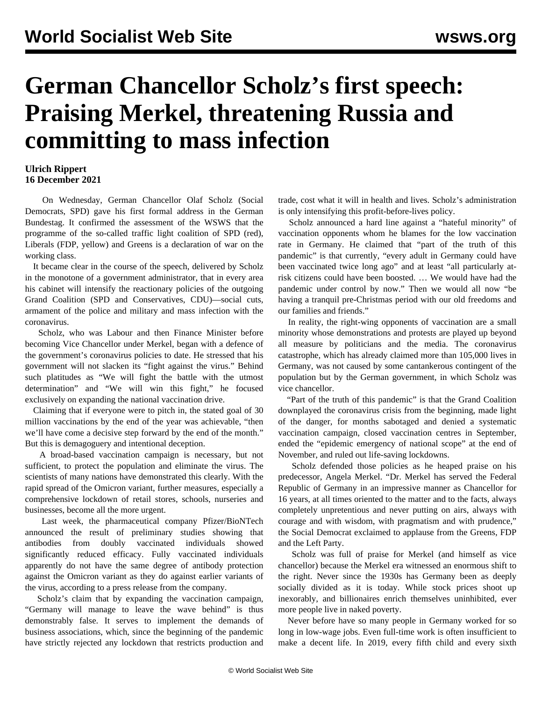## **German Chancellor Scholz's first speech: Praising Merkel, threatening Russia and committing to mass infection**

## **Ulrich Rippert 16 December 2021**

 On Wednesday, German Chancellor Olaf Scholz (Social Democrats, SPD) gave his first formal address in the German Bundestag. It confirmed the assessment of the WSWS that the programme of the so-called traffic light coalition of SPD (red), Liberals (FDP, yellow) and Greens is a declaration of war on the working class.

 It became clear in the course of the speech, delivered by Scholz in the monotone of a government administrator, that in every area his cabinet will intensify the reactionary policies of the outgoing Grand Coalition (SPD and Conservatives, CDU)—social cuts, armament of the police and military and mass infection with the coronavirus.

 Scholz, who was Labour and then Finance Minister before becoming Vice Chancellor under Merkel, began with a defence of the government's coronavirus policies to date. He stressed that his government will not slacken its "fight against the virus." Behind such platitudes as "We will fight the battle with the utmost determination" and "We will win this fight," he focused exclusively on expanding the national vaccination drive.

 Claiming that if everyone were to pitch in, the stated goal of 30 million vaccinations by the end of the year was achievable, "then we'll have come a decisive step forward by the end of the month." But this is demagoguery and intentional deception.

 A broad-based vaccination campaign is necessary, but not sufficient, to protect the population and eliminate the virus. The scientists of many nations have demonstrated this clearly. With the rapid spread of the Omicron variant, further measures, especially a comprehensive lockdown of retail stores, schools, nurseries and businesses, become all the more urgent.

 Last week, the pharmaceutical company Pfizer/BioNTech announced the result of preliminary studies showing that antibodies from doubly vaccinated individuals showed significantly reduced efficacy. Fully vaccinated individuals apparently do not have the same degree of antibody protection against the Omicron variant as they do against earlier variants of the virus, according to a press release from the company.

 Scholz's claim that by expanding the vaccination campaign, "Germany will manage to leave the wave behind" is thus demonstrably false. It serves to implement the demands of business associations, which, since the beginning of the pandemic have strictly rejected any lockdown that restricts production and trade, cost what it will in health and lives. Scholz's administration is only intensifying this profit-before-lives policy.

 Scholz announced a hard line against a "hateful minority" of vaccination opponents whom he blames for the low vaccination rate in Germany. He claimed that "part of the truth of this pandemic" is that currently, "every adult in Germany could have been vaccinated twice long ago" and at least "all particularly atrisk citizens could have been boosted. … We would have had the pandemic under control by now." Then we would all now "be having a tranquil pre-Christmas period with our old freedoms and our families and friends."

 In reality, the right-wing opponents of vaccination are a small minority whose demonstrations and protests are played up beyond all measure by politicians and the media. The coronavirus catastrophe, which has already claimed more than 105,000 lives in Germany, was not caused by some cantankerous contingent of the population but by the German government, in which Scholz was vice chancellor.

 "Part of the truth of this pandemic" is that the Grand Coalition downplayed the coronavirus crisis from the beginning, made light of the danger, for months sabotaged and denied a systematic vaccination campaign, closed vaccination centres in September, ended the "epidemic emergency of national scope" at the end of November, and ruled out life-saving lockdowns.

 Scholz defended those policies as he heaped praise on his predecessor, Angela Merkel. "Dr. Merkel has served the Federal Republic of Germany in an impressive manner as Chancellor for 16 years, at all times oriented to the matter and to the facts, always completely unpretentious and never putting on airs, always with courage and with wisdom, with pragmatism and with prudence," the Social Democrat exclaimed to applause from the Greens, FDP and the Left Party.

 Scholz was full of praise for Merkel (and himself as vice chancellor) because the Merkel era witnessed an enormous shift to the right. Never since the 1930s has Germany been as deeply socially divided as it is today. While stock prices shoot up inexorably, and billionaires enrich themselves uninhibited, ever more people live in naked poverty.

 Never before have so many people in Germany worked for so long in low-wage jobs. Even full-time work is often insufficient to make a decent life. In 2019, every fifth child and every sixth